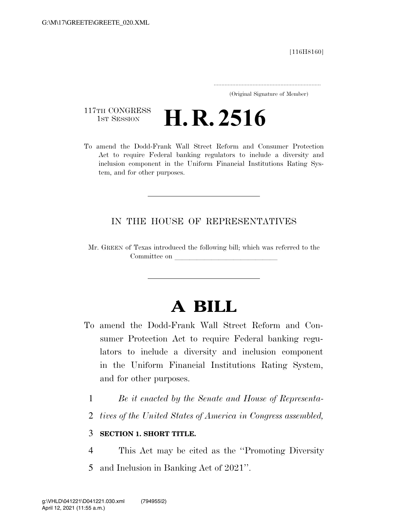[116H8160]

..................................................................... (Original Signature of Member)

117TH CONGRESS<br>1st Session

**H. R. 2516** 

To amend the Dodd-Frank Wall Street Reform and Consumer Protection Act to require Federal banking regulators to include a diversity and inclusion component in the Uniform Financial Institutions Rating System, and for other purposes.

## IN THE HOUSE OF REPRESENTATIVES

Mr. GREEN of Texas introduced the following bill; which was referred to the Committee on

# **A BILL**

- To amend the Dodd-Frank Wall Street Reform and Consumer Protection Act to require Federal banking regulators to include a diversity and inclusion component in the Uniform Financial Institutions Rating System, and for other purposes.
	- 1 *Be it enacted by the Senate and House of Representa-*
	- 2 *tives of the United States of America in Congress assembled,*

### 3 **SECTION 1. SHORT TITLE.**

4 This Act may be cited as the ''Promoting Diversity 5 and Inclusion in Banking Act of 2021''.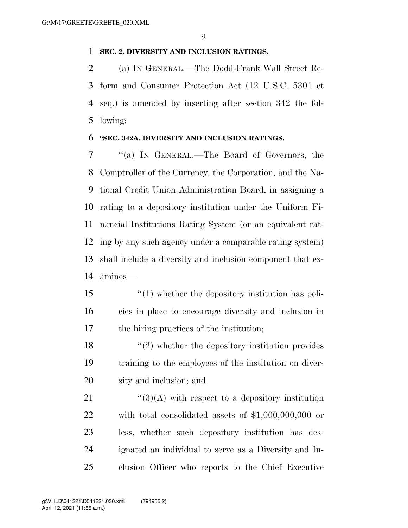#### **SEC. 2. DIVERSITY AND INCLUSION RATINGS.**

 (a) IN GENERAL.—The Dodd-Frank Wall Street Re- form and Consumer Protection Act (12 U.S.C. 5301 et seq.) is amended by inserting after section 342 the fol-lowing:

#### **''SEC. 342A. DIVERSITY AND INCLUSION RATINGS.**

 ''(a) IN GENERAL.—The Board of Governors, the Comptroller of the Currency, the Corporation, and the Na- tional Credit Union Administration Board, in assigning a rating to a depository institution under the Uniform Fi- nancial Institutions Rating System (or an equivalent rat- ing by any such agency under a comparable rating system) shall include a diversity and inclusion component that ex-amines—

- ''(1) whether the depository institution has poli- cies in place to encourage diversity and inclusion in the hiring practices of the institution;
- $\binom{18}{2}$  whether the depository institution provides training to the employees of the institution on diver-sity and inclusion; and

 $\frac{1}{2}$  (3)(A) with respect to a depository institution with total consolidated assets of \$1,000,000,000 or less, whether such depository institution has des- ignated an individual to serve as a Diversity and In-clusion Officer who reports to the Chief Executive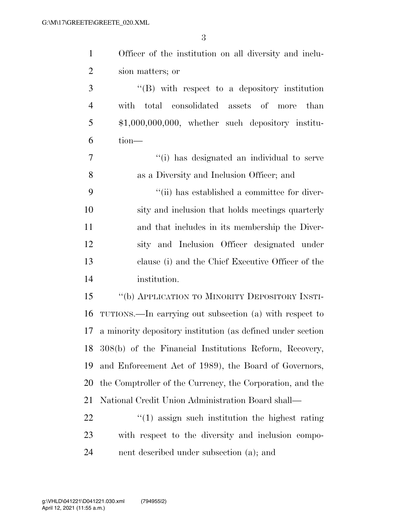| $\mathbf{1}$   | Officer of the institution on all diversity and inclu-      |
|----------------|-------------------------------------------------------------|
| $\overline{2}$ | sion matters; or                                            |
| 3              | $\lq\lq (B)$ with respect to a depository institution       |
| $\overline{4}$ | with total consolidated assets of more than                 |
| 5              | $$1,000,000,000,$ whether such depository institu-          |
| 6              | tion-                                                       |
| 7              | "(i) has designated an individual to serve                  |
| 8              | as a Diversity and Inclusion Officer; and                   |
| 9              | "(ii) has established a committee for diver-                |
| 10             | sity and inclusion that holds meetings quarterly            |
| 11             | and that includes in its membership the Diver-              |
| 12             | sity and Inclusion Officer designated under                 |
| 13             | clause (i) and the Chief Executive Officer of the           |
| 14             | institution.                                                |
| 15             | "(b) APPLICATION TO MINORITY DEPOSITORY INSTI-              |
| 16             | TUTIONS.—In carrying out subsection (a) with respect to     |
| 17             | a minority depository institution (as defined under section |
|                | 18 308(b) of the Financial Institutions Reform, Recovery,   |
| 19             | and Enforcement Act of 1989), the Board of Governors,       |
| 20             | the Comptroller of the Currency, the Corporation, and the   |
| 21             | National Credit Union Administration Board shall—           |
| 22             | $f'(1)$ assign such institution the highest rating          |
| 23             | with respect to the diversity and inclusion compo-          |
| 24             | nent described under subsection (a); and                    |